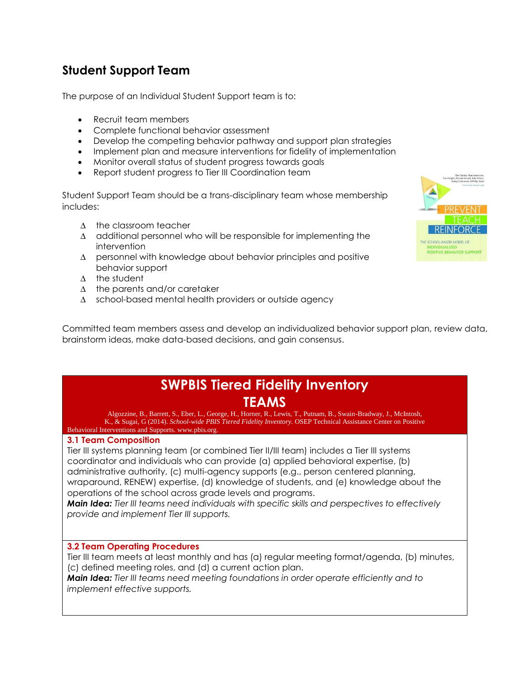# **Student Support Team**

The purpose of an Individual Student Support team is to:

- Recruit team members
- Complete functional behavior assessment
- Develop the competing behavior pathway and support plan strategies
- Implement plan and measure interventions for fidelity of implementation
- Monitor overall status of student progress towards goals
- Report student progress to Tier III Coordination team

Student Support Team should be a trans-disciplinary team whose membership includes:

- ∆ the classroom teacher
- ∆ additional personnel who will be responsible for implementing the intervention
- ∆ personnel with knowledge about behavior principles and positive behavior support
- ∆ the student
- ∆ the parents and/or caretaker
- ∆ school-based mental health providers or outside agency

Committed team members assess and develop an individualized behavior support plan, review data, brainstorm ideas, make data-based decisions, and gain consensus.

## **SWPBIS Tiered Fidelity Inventory TEAMS**

Algozzine, B., Barrett, S., Eber, L., George, H., Horner, R., Lewis, T., Putnam, B., Swain-Bradway, J., McIntosh, K., & Sugai, G (2014). *School-wide PBIS Tiered Fidelity Inventory.* OSEP Technical Assistance Center on Positive Behavioral Interventions and Supports. www.pbis.org.

### **3.1 Team Composition**

Tier III systems planning team (or combined Tier II/III team) includes a Tier III systems coordinator and individuals who can provide (a) applied behavioral expertise, (b) administrative authority, (c) multi-agency supports (e.g., person centered planning, wraparound, RENEW) expertise, (d) knowledge of students, and (e) knowledge about the operations of the school across grade levels and programs.

*Main Idea: Tier III teams need individuals with specific skills and perspectives to effectively provide and implement Tier III supports.*

### **3.2 Team Operating Procedures**

Tier III team meets at least monthly and has (a) regular meeting format/agenda, (b) minutes, (c) defined meeting roles, and (d) a current action plan.

*Main Idea: Tier III teams need meeting foundations in order operate efficiently and to implement effective supports.*